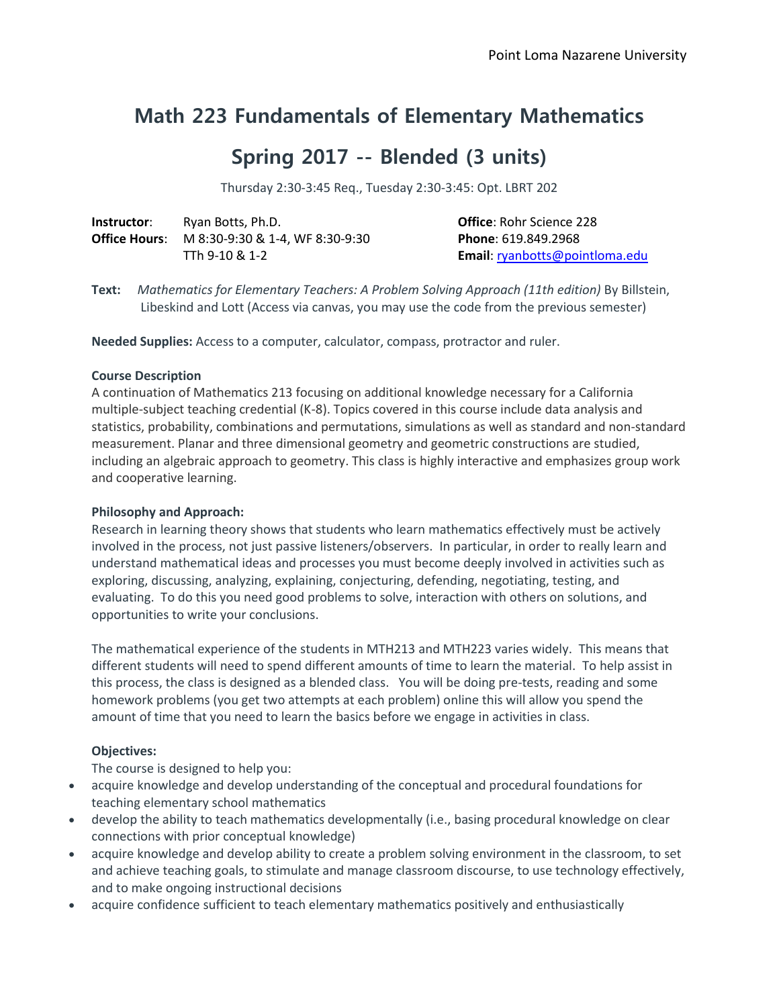# **Math 223 Fundamentals of Elementary Mathematics**

# **Spring 2017 -- Blended (3 units)**

Thursday 2:30-3:45 Req., Tuesday 2:30-3:45: Opt. LBRT 202

| Instructor: | Ryan Botts, Ph.D.                                    | <b>Office: Rohr Science 228</b> |
|-------------|------------------------------------------------------|---------------------------------|
|             | <b>Office Hours:</b> M 8:30-9:30 & 1-4. WF 8:30-9:30 | <b>Phone: 619.849.2968</b>      |
|             | TTh 9-10 & 1-2                                       | Email: ryanbotts@pointloma.edu  |

**Text:** *Mathematics for Elementary Teachers: A Problem Solving Approach (11th edition)* By Billstein, Libeskind and Lott (Access via canvas, you may use the code from the previous semester)

**Needed Supplies:** Access to a computer, calculator, compass, protractor and ruler.

#### **Course Description**

A continuation of Mathematics 213 focusing on additional knowledge necessary for a California multiple-subject teaching credential (K-8). Topics covered in this course include data analysis and statistics, probability, combinations and permutations, simulations as well as standard and non-standard measurement. Planar and three dimensional geometry and geometric constructions are studied, including an algebraic approach to geometry. This class is highly interactive and emphasizes group work and cooperative learning.

## **Philosophy and Approach:**

Research in learning theory shows that students who learn mathematics effectively must be actively involved in the process, not just passive listeners/observers. In particular, in order to really learn and understand mathematical ideas and processes you must become deeply involved in activities such as exploring, discussing, analyzing, explaining, conjecturing, defending, negotiating, testing, and evaluating. To do this you need good problems to solve, interaction with others on solutions, and opportunities to write your conclusions.

The mathematical experience of the students in MTH213 and MTH223 varies widely. This means that different students will need to spend different amounts of time to learn the material. To help assist in this process, the class is designed as a blended class. You will be doing pre-tests, reading and some homework problems (you get two attempts at each problem) online this will allow you spend the amount of time that you need to learn the basics before we engage in activities in class.

## **Objectives:**

The course is designed to help you:

- acquire knowledge and develop understanding of the conceptual and procedural foundations for teaching elementary school mathematics
- develop the ability to teach mathematics developmentally (i.e., basing procedural knowledge on clear connections with prior conceptual knowledge)
- acquire knowledge and develop ability to create a problem solving environment in the classroom, to set and achieve teaching goals, to stimulate and manage classroom discourse, to use technology effectively, and to make ongoing instructional decisions
- acquire confidence sufficient to teach elementary mathematics positively and enthusiastically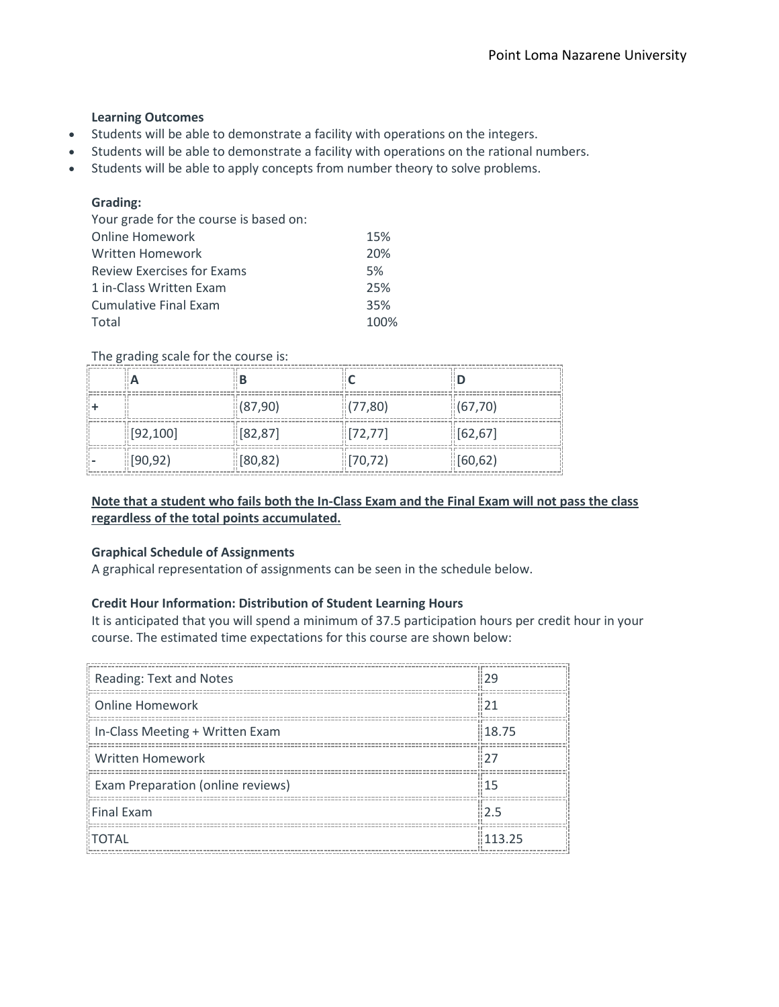## **Learning Outcomes**

- Students will be able to demonstrate a facility with operations on the integers.
- Students will be able to demonstrate a facility with operations on the rational numbers.
- Students will be able to apply concepts from number theory to solve problems.

# **Grading:**

| Your grade for the course is based on: |      |
|----------------------------------------|------|
| <b>Online Homework</b>                 | 15%  |
| Written Homework                       | 20%  |
| <b>Review Exercises for Exams</b>      | 5%   |
| 1 in-Class Written Exam                | 25%  |
| Cumulative Final Exam                  | 35%  |
| Total                                  | 100% |

## The grading scale for the course is:

| ⊪A        | ΠB                    |                       |                        |
|-----------|-----------------------|-----------------------|------------------------|
|           | $\frac{1}{10}(87,90)$ | (77,80)               | $\frac{1}{16}$ (67,70) |
| [92, 100] | [82, 87]              | $\left[72,77\right]$  | [62, 67]               |
| [90, 92]  | [80, 82]              | $\frac{1}{2}$ [70,72) | [60, 62]               |

# **Note that a student who fails both the In-Class Exam and the Final Exam will not pass the class regardless of the total points accumulated.**

## **Graphical Schedule of Assignments**

A graphical representation of assignments can be seen in the schedule below.

## **Credit Hour Information: Distribution of Student Learning Hours**

It is anticipated that you will spend a minimum of 37.5 participation hours per credit hour in your course. The estimated time expectations for this course are shown below:

| Reading: Text and Notes           | 129    |
|-----------------------------------|--------|
| <b>Online Homework</b>            | 21     |
| In-Class Meeting + Written Exam   | 18.75  |
| Written Homework                  |        |
| Exam Preparation (online reviews) | 81 1 5 |
| <b>Final Exam</b>                 | 12.5   |
| <b>TOTAL</b>                      | 113.25 |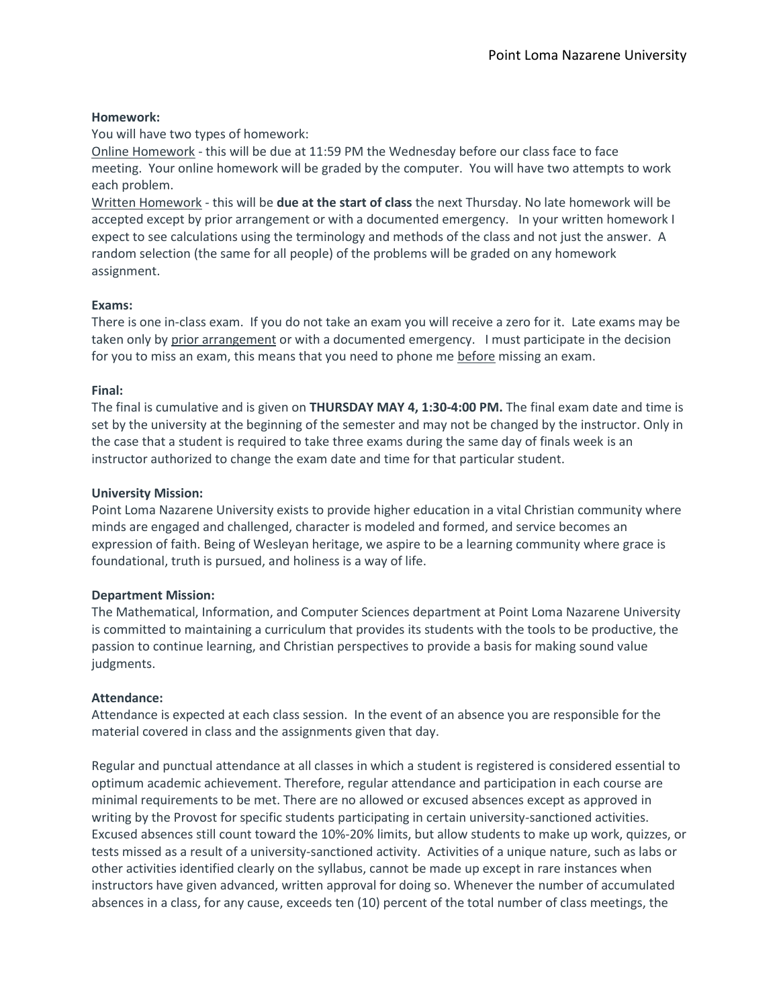## **Homework:**

You will have two types of homework:

Online Homework - this will be due at 11:59 PM the Wednesday before our class face to face meeting. Your online homework will be graded by the computer. You will have two attempts to work each problem.

Written Homework - this will be **due at the start of class** the next Thursday. No late homework will be accepted except by prior arrangement or with a documented emergency. In your written homework I expect to see calculations using the terminology and methods of the class and not just the answer. A random selection (the same for all people) of the problems will be graded on any homework assignment.

## **Exams:**

There is one in-class exam. If you do not take an exam you will receive a zero for it. Late exams may be taken only by prior arrangement or with a documented emergency. I must participate in the decision for you to miss an exam, this means that you need to phone me before missing an exam.

#### **Final:**

The final is cumulative and is given on **THURSDAY MAY 4, 1:30-4:00 PM.** The final exam date and time is set by the university at the beginning of the semester and may not be changed by the instructor. Only in the case that a student is required to take three exams during the same day of finals week is an instructor authorized to change the exam date and time for that particular student.

#### **University Mission:**

Point Loma Nazarene University exists to provide higher education in a vital Christian community where minds are engaged and challenged, character is modeled and formed, and service becomes an expression of faith. Being of Wesleyan heritage, we aspire to be a learning community where grace is foundational, truth is pursued, and holiness is a way of life.

## **Department Mission:**

The Mathematical, Information, and Computer Sciences department at Point Loma Nazarene University is committed to maintaining a curriculum that provides its students with the tools to be productive, the passion to continue learning, and Christian perspectives to provide a basis for making sound value judgments.

## **Attendance:**

Attendance is expected at each class session. In the event of an absence you are responsible for the material covered in class and the assignments given that day.

Regular and punctual attendance at all classes in which a student is registered is considered essential to optimum academic achievement. Therefore, regular attendance and participation in each course are minimal requirements to be met. There are no allowed or excused absences except as approved in writing by the Provost for specific students participating in certain university-sanctioned activities. Excused absences still count toward the 10%-20% limits, but allow students to make up work, quizzes, or tests missed as a result of a university-sanctioned activity. Activities of a unique nature, such as labs or other activities identified clearly on the syllabus, cannot be made up except in rare instances when instructors have given advanced, written approval for doing so. Whenever the number of accumulated absences in a class, for any cause, exceeds ten (10) percent of the total number of class meetings, the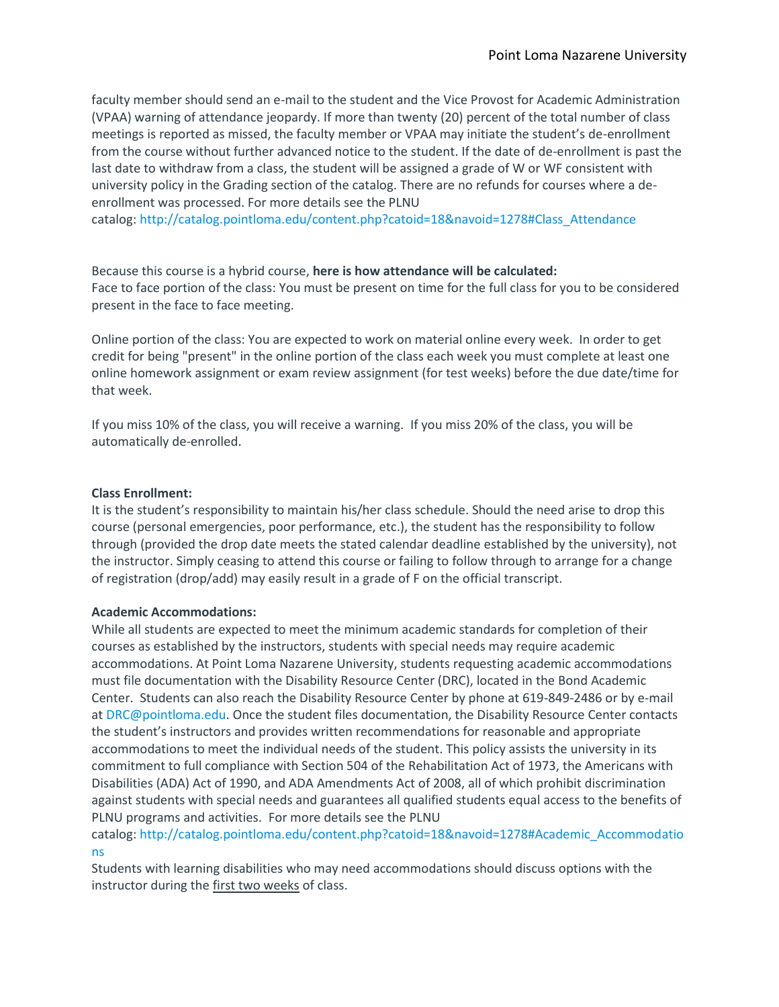faculty member should send an e-mail to the student and the Vice Provost for Academic Administration (VPAA) warning of attendance jeopardy. If more than twenty (20) percent of the total number of class meetings is reported as missed, the faculty member or VPAA may initiate the student's de-enrollment from the course without further advanced notice to the student. If the date of de-enrollment is past the last date to withdraw from a class, the student will be assigned a grade of W or WF consistent with university policy in the Grading section of the catalog. There are no refunds for courses where a deenrollment was processed. For more details see the PLNU catalog: [http://catalog.pointloma.edu/content.php?catoid=18&navoid=1278#Class\\_Attendance](http://catalog.pointloma.edu/content.php?catoid=18&navoid=1278#Class_Attendance)

Because this course is a hybrid course, **here is how attendance will be calculated:** Face to face portion of the class: You must be present on time for the full class for you to be considered

Online portion of the class: You are expected to work on material online every week. In order to get credit for being "present" in the online portion of the class each week you must complete at least one online homework assignment or exam review assignment (for test weeks) before the due date/time for that week.

If you miss 10% of the class, you will receive a warning. If you miss 20% of the class, you will be automatically de-enrolled.

#### **Class Enrollment:**

It is the student's responsibility to maintain his/her class schedule. Should the need arise to drop this course (personal emergencies, poor performance, etc.), the student has the responsibility to follow through (provided the drop date meets the stated calendar deadline established by the university), not the instructor. Simply ceasing to attend this course or failing to follow through to arrange for a change of registration (drop/add) may easily result in a grade of F on the official transcript.

## **Academic Accommodations:**

present in the face to face meeting.

While all students are expected to meet the minimum academic standards for completion of their courses as established by the instructors, students with special needs may require academic accommodations. At Point Loma Nazarene University, students requesting academic accommodations must file documentation with the Disability Resource Center (DRC), located in the Bond Academic Center. Students can also reach the Disability Resource Center by phone at 619-849-2486 or by e-mail at [DRC@pointloma.edu.](mailto:DRC@pointloma.edu) Once the student files documentation, the Disability Resource Center contacts the student's instructors and provides written recommendations for reasonable and appropriate accommodations to meet the individual needs of the student. This policy assists the university in its commitment to full compliance with Section 504 of the Rehabilitation Act of 1973, the Americans with Disabilities (ADA) Act of 1990, and ADA Amendments Act of 2008, all of which prohibit discrimination against students with special needs and guarantees all qualified students equal access to the benefits of PLNU programs and activities. For more details see the PLNU

catalog: [http://catalog.pointloma.edu/content.php?catoid=18&navoid=1278#Academic\\_Accommodatio](http://catalog.pointloma.edu/content.php?catoid=18&navoid=1278#Academic_Accommodations) [ns](http://catalog.pointloma.edu/content.php?catoid=18&navoid=1278#Academic_Accommodations)

Students with learning disabilities who may need accommodations should discuss options with the instructor during the first two weeks of class.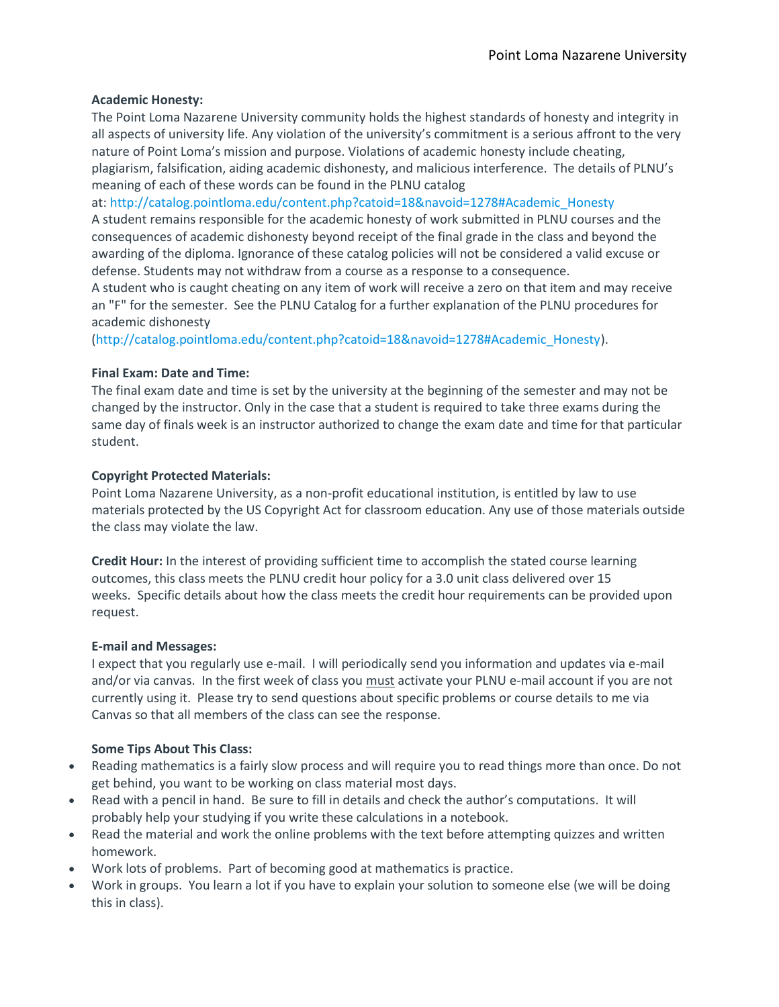## **Academic Honesty:**

The Point Loma Nazarene University community holds the highest standards of honesty and integrity in all aspects of university life. Any violation of the university's commitment is a serious affront to the very nature of Point Loma's mission and purpose. Violations of academic honesty include cheating, plagiarism, falsification, aiding academic dishonesty, and malicious interference. The details of PLNU's meaning of each of these words can be found in the PLNU catalog

at: [http://catalog.pointloma.edu/content.php?catoid=18&navoid=1278#Academic\\_Honesty](http://catalog.pointloma.edu/content.php?catoid=18&navoid=1278#Academic_Honesty)

A student remains responsible for the academic honesty of work submitted in PLNU courses and the consequences of academic dishonesty beyond receipt of the final grade in the class and beyond the awarding of the diploma. Ignorance of these catalog policies will not be considered a valid excuse or defense. Students may not withdraw from a course as a response to a consequence.

A student who is caught cheating on any item of work will receive a zero on that item and may receive an "F" for the semester. See the PLNU Catalog for a further explanation of the PLNU procedures for academic dishonesty

[\(http://catalog.pointloma.edu/content.php?catoid=18&navoid=1278#Academic\\_Honesty\)](http://catalog.pointloma.edu/content.php?catoid=18&navoid=1278#Academic_Honesty).

# **Final Exam: Date and Time:**

The final exam date and time is set by the university at the beginning of the semester and may not be changed by the instructor. Only in the case that a student is required to take three exams during the same day of finals week is an instructor authorized to change the exam date and time for that particular student.

# **Copyright Protected Materials:**

Point Loma Nazarene University, as a non-profit educational institution, is entitled by law to use materials protected by the US Copyright Act for classroom education. Any use of those materials outside the class may violate the law.

**Credit Hour:** In the interest of providing sufficient time to accomplish the stated course learning outcomes, this class meets the PLNU credit hour policy for a 3.0 unit class delivered over 15 weeks. Specific details about how the class meets the credit hour requirements can be provided upon request.

## **E-mail and Messages:**

I expect that you regularly use e-mail. I will periodically send you information and updates via e-mail and/or via canvas. In the first week of class you must activate your PLNU e-mail account if you are not currently using it. Please try to send questions about specific problems or course details to me via Canvas so that all members of the class can see the response.

# **Some Tips About This Class:**

- Reading mathematics is a fairly slow process and will require you to read things more than once. Do not get behind, you want to be working on class material most days.
- Read with a pencil in hand. Be sure to fill in details and check the author's computations. It will probably help your studying if you write these calculations in a notebook.
- Read the material and work the online problems with the text before attempting quizzes and written homework.
- Work lots of problems. Part of becoming good at mathematics is practice.
- Work in groups. You learn a lot if you have to explain your solution to someone else (we will be doing this in class).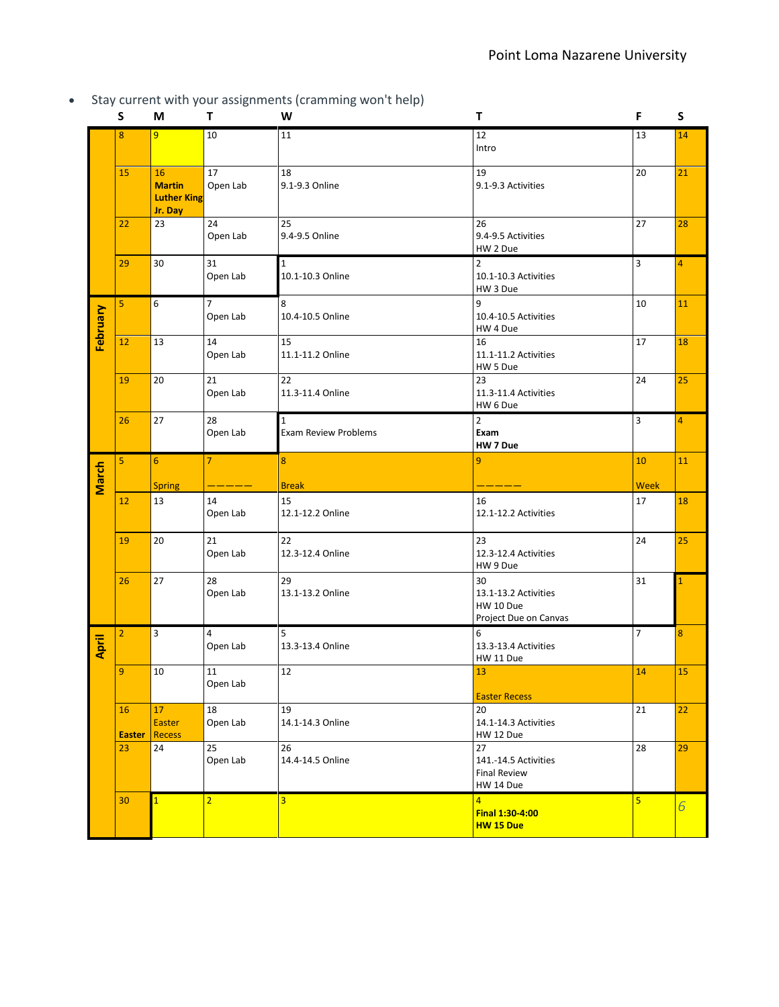Stay current with your assignments (cramming won't help)

|          | S                   | M                                                    | т                          | - 17<br>W                                  | т                                                                | F              | S              |
|----------|---------------------|------------------------------------------------------|----------------------------|--------------------------------------------|------------------------------------------------------------------|----------------|----------------|
|          | 8                   | 9                                                    | 10                         | 11                                         | 12<br>Intro                                                      | 13             | 14             |
|          | 15                  | 16<br><b>Martin</b><br><b>Luther King</b><br>Jr. Day | 17<br>Open Lab             | 18<br>9.1-9.3 Online                       | 19<br>9.1-9.3 Activities                                         | 20             | 21             |
|          | 22                  | 23                                                   | 24<br>Open Lab             | 25<br>9.4-9.5 Online                       | 26<br>9.4-9.5 Activities<br>HW 2 Due                             | 27             | 28             |
|          | 29                  | 30                                                   | 31<br>Open Lab             | $1\,$<br>10.1-10.3 Online                  | $\overline{2}$<br>10.1-10.3 Activities<br>HW 3 Due               | 3              | 4              |
| February | 5                   | 6                                                    | $\overline{7}$<br>Open Lab | 8<br>10.4-10.5 Online                      | 9<br>10.4-10.5 Activities<br>HW 4 Due                            | 10             | 11             |
|          | 12                  | 13                                                   | 14<br>Open Lab             | 15<br>11.1-11.2 Online                     | 16<br>11.1-11.2 Activities<br>HW 5 Due                           | 17             | 18             |
|          | 19                  | 20                                                   | 21<br>Open Lab             | 22<br>11.3-11.4 Online                     | 23<br>11.3-11.4 Activities<br>HW 6 Due                           | 24             | 25             |
|          | 26                  | 27                                                   | 28<br>Open Lab             | $\mathbf 1$<br><b>Exam Review Problems</b> | 2<br>Exam<br>HW 7 Due                                            | 3              | 4              |
|          | 5                   | $6\phantom{1}$                                       | $\overline{7}$             | 8                                          | 9                                                                | 10             | 11             |
| March    |                     | <b>Spring</b>                                        |                            | <b>Break</b>                               |                                                                  | <b>Week</b>    |                |
|          | 12                  | 13                                                   | 14<br>Open Lab             | 15<br>12.1-12.2 Online                     | 16<br>12.1-12.2 Activities                                       | 17             | 18             |
|          | 19                  | 20                                                   | 21<br>Open Lab             | 22<br>12.3-12.4 Online                     | 23<br>12.3-12.4 Activities<br>HW 9 Due                           | 24             | 25             |
|          | 26                  | 27                                                   | 28<br>Open Lab             | 29<br>13.1-13.2 Online                     | 30<br>13.1-13.2 Activities<br>HW 10 Due<br>Project Due on Canvas | 31             |                |
| April    | $\overline{2}$      | 3                                                    | $\overline{4}$<br>Open Lab | 5<br>13.3-13.4 Online                      | 6<br>13.3-13.4 Activities<br>HW 11 Due                           | $\overline{7}$ | $\bf 8$        |
|          | 9                   | 10                                                   | 11<br>Open Lab             | 12                                         | 13<br><b>Easter Recess</b>                                       | 14             | 15             |
|          | 16<br><b>Easter</b> | 17<br>Easter<br><b>Recess</b>                        | 18<br>Open Lab             | 19<br>14.1-14.3 Online                     | 20<br>14.1-14.3 Activities<br>HW 12 Due                          | 21             | 22             |
|          | 23                  | 24                                                   | 25<br>Open Lab             | 26<br>14.4-14.5 Online                     | 27<br>141.-14.5 Activities<br><b>Final Review</b><br>HW 14 Due   | 28             | 29             |
|          | 30                  | $\overline{1}$                                       | $\overline{2}$             | $\overline{3}$                             | $\overline{4}$<br>Final 1:30-4:00<br>HW 15 Due                   | 5              | $\overline{6}$ |